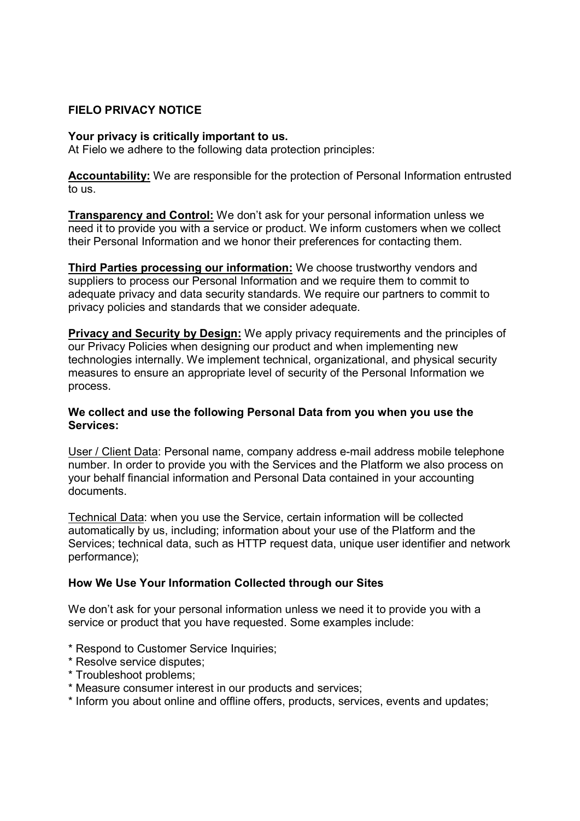# FIELO PRIVACY NOTICE

### Your privacy is critically important to us.

At Fielo we adhere to the following data protection principles:

Accountability: We are responsible for the protection of Personal Information entrusted to us.

Transparency and Control: We don't ask for your personal information unless we need it to provide you with a service or product. We inform customers when we collect their Personal Information and we honor their preferences for contacting them.

**Third Parties processing our information:** We choose trustworthy vendors and suppliers to process our Personal Information and we require them to commit to adequate privacy and data security standards. We require our partners to commit to privacy policies and standards that we consider adequate.

Privacy and Security by Design: We apply privacy requirements and the principles of our Privacy Policies when designing our product and when implementing new technologies internally. We implement technical, organizational, and physical security measures to ensure an appropriate level of security of the Personal Information we process.

## We collect and use the following Personal Data from you when you use the Services:

User / Client Data: Personal name, company address e-mail address mobile telephone number. In order to provide you with the Services and the Platform we also process on your behalf financial information and Personal Data contained in your accounting documents.

Technical Data: when you use the Service, certain information will be collected automatically by us, including; information about your use of the Platform and the Services; technical data, such as HTTP request data, unique user identifier and network performance);

### How We Use Your Information Collected through our Sites

We don't ask for your personal information unless we need it to provide you with a service or product that you have requested. Some examples include:

- \* Respond to Customer Service Inquiries;
- \* Resolve service disputes;
- \* Troubleshoot problems;
- \* Measure consumer interest in our products and services;
- \* Inform you about online and offline offers, products, services, events and updates;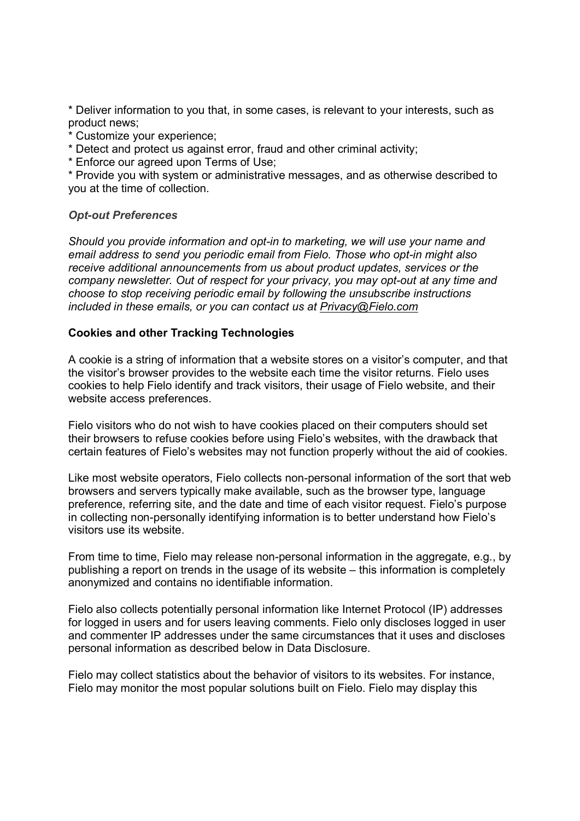\* Deliver information to you that, in some cases, is relevant to your interests, such as product news;

- \* Customize your experience;
- \* Detect and protect us against error, fraud and other criminal activity;
- \* Enforce our agreed upon Terms of Use;

\* Provide you with system or administrative messages, and as otherwise described to you at the time of collection.

#### Opt-out Preferences

Should you provide information and opt-in to marketing, we will use your name and email address to send you periodic email from Fielo. Those who opt-in might also receive additional announcements from us about product updates, services or the company newsletter. Out of respect for your privacy, you may opt-out at any time and choose to stop receiving periodic email by following the unsubscribe instructions included in these emails, or you can contact us at Privacy@Fielo.com

#### Cookies and other Tracking Technologies

A cookie is a string of information that a website stores on a visitor's computer, and that the visitor's browser provides to the website each time the visitor returns. Fielo uses cookies to help Fielo identify and track visitors, their usage of Fielo website, and their website access preferences.

Fielo visitors who do not wish to have cookies placed on their computers should set their browsers to refuse cookies before using Fielo's websites, with the drawback that certain features of Fielo's websites may not function properly without the aid of cookies.

Like most website operators, Fielo collects non-personal information of the sort that web browsers and servers typically make available, such as the browser type, language preference, referring site, and the date and time of each visitor request. Fielo's purpose in collecting non-personally identifying information is to better understand how Fielo's visitors use its website.

From time to time, Fielo may release non-personal information in the aggregate, e.g., by publishing a report on trends in the usage of its website – this information is completely anonymized and contains no identifiable information.

Fielo also collects potentially personal information like Internet Protocol (IP) addresses for logged in users and for users leaving comments. Fielo only discloses logged in user and commenter IP addresses under the same circumstances that it uses and discloses personal information as described below in Data Disclosure.

Fielo may collect statistics about the behavior of visitors to its websites. For instance, Fielo may monitor the most popular solutions built on Fielo. Fielo may display this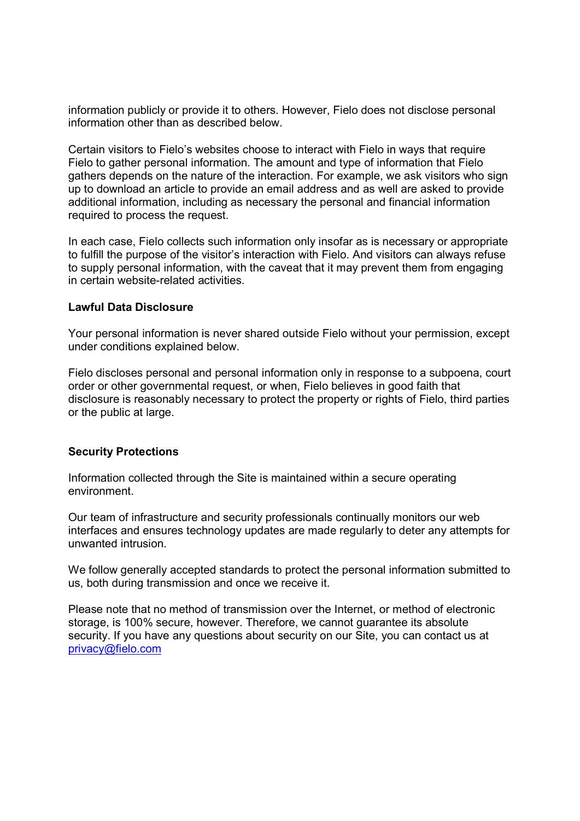information publicly or provide it to others. However, Fielo does not disclose personal information other than as described below.

Certain visitors to Fielo's websites choose to interact with Fielo in ways that require Fielo to gather personal information. The amount and type of information that Fielo gathers depends on the nature of the interaction. For example, we ask visitors who sign up to download an article to provide an email address and as well are asked to provide additional information, including as necessary the personal and financial information required to process the request.

In each case, Fielo collects such information only insofar as is necessary or appropriate to fulfill the purpose of the visitor's interaction with Fielo. And visitors can always refuse to supply personal information, with the caveat that it may prevent them from engaging in certain website-related activities.

### Lawful Data Disclosure

Your personal information is never shared outside Fielo without your permission, except under conditions explained below.

Fielo discloses personal and personal information only in response to a subpoena, court order or other governmental request, or when, Fielo believes in good faith that disclosure is reasonably necessary to protect the property or rights of Fielo, third parties or the public at large.

# Security Protections

Information collected through the Site is maintained within a secure operating environment.

Our team of infrastructure and security professionals continually monitors our web interfaces and ensures technology updates are made regularly to deter any attempts for unwanted intrusion.

We follow generally accepted standards to protect the personal information submitted to us, both during transmission and once we receive it.

Please note that no method of transmission over the Internet, or method of electronic storage, is 100% secure, however. Therefore, we cannot guarantee its absolute security. If you have any questions about security on our Site, you can contact us at privacy@fielo.com